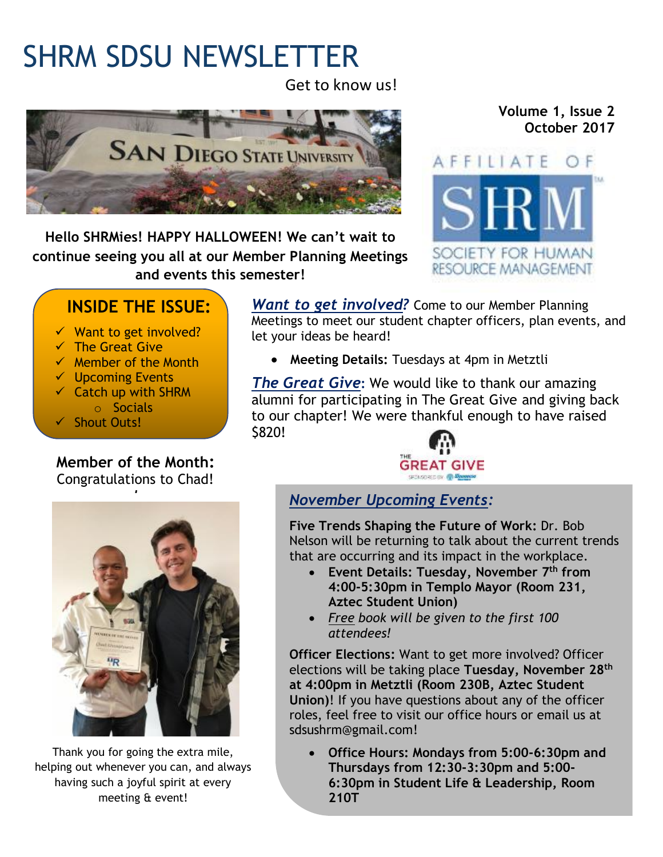# SHRM SDSU NEWSLETTER

Get to know us!



**Hello SHRMies! HAPPY HALLOWEEN! We can't wait to continue seeing you all at our Member Planning Meetings and events this semester!**

#### **Volume 1, Issue 2 October 2017**



### **INSIDE THE ISSUE:**

- $\checkmark$  Want to get involved?
- $\checkmark$  The Great Give
- $\checkmark$  Member of the Month
- ✓ Upcoming Events
- ✓ Catch up with SHRM o Socials
- ✓ Shout Outs!

## **Member of the Month:**

Congratulations to Chad!



Thank you for going the extra mile, helping out whenever you can, and always having such a joyful spirit at every meeting & event!

*Want to get involved?* Come to our Member Planning Meetings to meet our student chapter officers, plan events, and let your ideas be heard!

• **Meeting Details:** Tuesdays at 4pm in Metztli

*The Great Give***:** We would like to thank our amazing alumni for participating in The Great Give and giving back to our chapter! We were thankful enough to have raised \$820!



#### *November Upcoming Events:*

**Five Trends Shaping the Future of Work:** Dr. Bob Nelson will be returning to talk about the current trends that are occurring and its impact in the workplace.

- **Event Details: Tuesday, November 7 th from 4:00-5:30pm in Templo Mayor (Room 231, Aztec Student Union)**
- *Free book will be given to the first 100 attendees!*

**Officer Elections:** Want to get more involved? Officer elections will be taking place **Tuesday, November 28th at 4:00pm in Metztli (Room 230B, Aztec Student Union)**! If you have questions about any of the officer roles, feel free to visit our office hours or email us at sdsushrm@gmail.com!

• **Office Hours: Mondays from 5:00-6:30pm and Thursdays from 12:30-3:30pm and 5:00- 6:30pm in Student Life & Leadership, Room 210T**